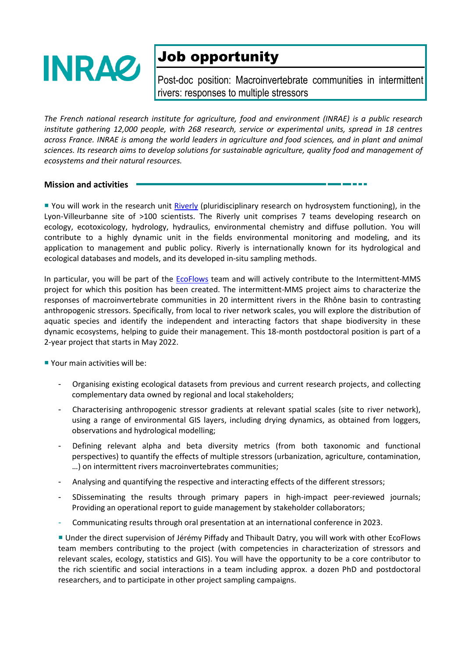

## Job opportunity

Post-doc position: Macroinvertebrate communities in intermittent rivers: responses to multiple stressors

*The French national research institute for agriculture, food and environment (INRAE) is a public research institute gathering 12,000 people, with 268 research, service or experimental units, spread in 18 centres across France. INRAE is among the world leaders in agriculture and food sciences, and in plant and animal sciences. Its research aims to develop solutions for sustainable agriculture, quality food and management of ecosystems and their natural resources.*

## **Mission and activities**

You will work in the research unit [Riverly](https://riverly.inrae.fr/) (pluridisciplinary research on hydrosystem functioning), in the Lyon-Villeurbanne site of >100 scientists. The Riverly unit comprises 7 teams developing research on ecology, ecotoxicology, hydrology, hydraulics, environmental chemistry and diffuse pollution. You will contribute to a highly dynamic unit in the fields environmental monitoring and modeling, and its application to management and public policy. Riverly is internationally known for its hydrological and ecological databases and models, and its developed in-situ sampling methods.

In particular, you will be part of the [EcoFlows](https://ecoflows.inrae.fr/) team and will actively contribute to the Intermittent-MMS project for which this position has been created. The intermittent-MMS project aims to characterize the responses of macroinvertebrate communities in 20 intermittent rivers in the Rhône basin to contrasting anthropogenic stressors. Specifically, from local to river network scales, you will explore the distribution of aquatic species and identify the independent and interacting factors that shape biodiversity in these dynamic ecosystems, helping to guide their management. This 18-month postdoctoral position is part of a 2-year project that starts in May 2022.

**Vour main activities will be:** 

- Organising existing ecological datasets from previous and current research projects, and collecting complementary data owned by regional and local stakeholders;
- Characterising anthropogenic stressor gradients at relevant spatial scales (site to river network), using a range of environmental GIS layers, including drying dynamics, as obtained from loggers, observations and hydrological modelling;
- Defining relevant alpha and beta diversity metrics (from both taxonomic and functional perspectives) to quantify the effects of multiple stressors (urbanization, agriculture, contamination, …) on intermittent rivers macroinvertebrates communities;
- Analysing and quantifying the respective and interacting effects of the different stressors;
- SDisseminating the results through primary papers in high-impact peer-reviewed journals; Providing an operational report to guide management by stakeholder collaborators;
- Communicating results through oral presentation at an international conference in 2023.

 Under the direct supervision of Jérémy Piffady and Thibault Datry, you will work with other EcoFlows team members contributing to the project (with competencies in characterization of stressors and relevant scales, ecology, statistics and GIS). You will have the opportunity to be a core contributor to the rich scientific and social interactions in a team including approx. a dozen PhD and postdoctoral researchers, and to participate in other project sampling campaigns.